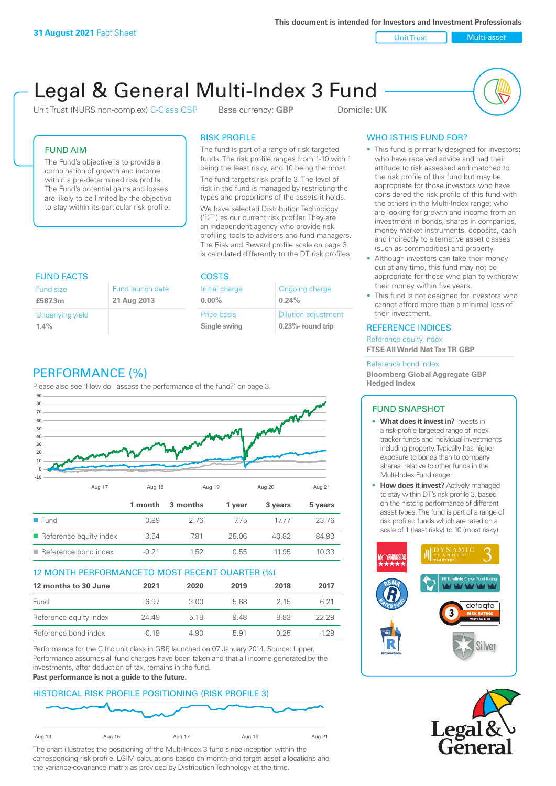**This document is intended for Investors and Investment Professionals**

Unit Trust Nulti-asset

# Legal & General Multi-Index 3 Fund

Unit Trust (NURS non-complex) C-Class GBP Base currency: **GBP** Domicile: UK



# FUND AIM

The Fund's objective is to provide a combination of growth and income within a pre-determined risk profile. The Fund's potential gains and losses are likely to be limited by the objective to stay within its particular risk profile.

## RISK PROFILE

The fund is part of a range of risk targeted funds. The risk profile ranges from 1-10 with 1 being the least risky, and 10 being the most.

The fund targets risk profile 3. The level of risk in the fund is managed by restricting the types and proportions of the assets it holds. We have selected Distribution Technology ('DT') as our current risk profiler. They are an independent agency who provide risk profiling tools to advisers and fund managers. The Risk and Reward profile scale on page 3 is calculated differently to the DT risk profiles.

| <b>FUND FACTS</b> |                  | <b>COSTS</b>   |                            |  |
|-------------------|------------------|----------------|----------------------------|--|
| <b>Fund size</b>  | Fund launch date | Initial charge | Ongoing charge             |  |
| £587.3m           | 21 Aug 2013      | $0.00\%$       | 0.24%                      |  |
| Underlying yield  |                  | Price basis    | <b>Dilution adjustment</b> |  |
| 1.4%              |                  | Single swing   | $0.23\%$ - round trip      |  |

# PERFORMANCE (%)

Please also see 'How do I assess the performance of the fund?' on page 3.



# 12 MONTH PERFORMANCE TO MOST RECENT QUARTER (%)

| 12 months to 30 June   | 2021    | 2020 | 2019 | 2018 | 2017   |
|------------------------|---------|------|------|------|--------|
| Fund                   | 6.97    | 3.00 | 5.68 | 2 15 | 6.21   |
| Reference equity index | 24.49   | 5 18 | 948  | 883  | 22.29  |
| Reference bond index   | $-0.19$ | 4.90 | 5.91 | 0.25 | $-129$ |

Performance for the C Inc unit class in GBP, launched on 07 January 2014. Source: Lipper. Performance assumes all fund charges have been taken and that all income generated by the investments, after deduction of tax, remains in the fund.

### **Past performance is not a guide to the future.**

# HISTORICAL RISK PROFILE POSITIONING (RISK PROFILE 3)



The chart illustrates the positioning of the Multi-Index 3 fund since inception within the corresponding risk profile. LGIM calculations based on month-end target asset allocations and the variance-covariance matrix as provided by Distribution Technology at the time.

# WHO IS THIS FUND FOR?

- This fund is primarily designed for investors: who have received advice and had their attitude to risk assessed and matched to the risk profile of this fund but may be appropriate for those investors who have considered the risk profile of this fund with the others in the Multi-Index range; who are looking for growth and income from an investment in bonds, shares in companies, money market instruments, deposits, cash and indirectly to alternative asset classes (such as commodities) and property.
- Although investors can take their money out at any time, this fund may not be appropriate for those who plan to withdraw their money within five years.
- This fund is not designed for investors who cannot afford more than a minimal loss of their investment.

## REFERENCE INDICES

Reference equity index **FTSE All World Net Tax TR GBP**

#### Reference bond index

**Bloomberg Global Aggregate GBP Hedged Index**

# FUND SNAPSHOT

- **• What does it invest in?** Invests in a risk-profile targeted range of index tracker funds and individual investments including property. Typically has higher exposure to bonds than to company shares, relative to other funds in the Multi-Index Fund range.
- **• How does it invest?** Actively managed to stay within DT's risk profile 3, based on the historic performance of different asset types. The fund is part of a range of risk profiled funds which are rated on a scale of 1 (least risky) to 10 (most risky).



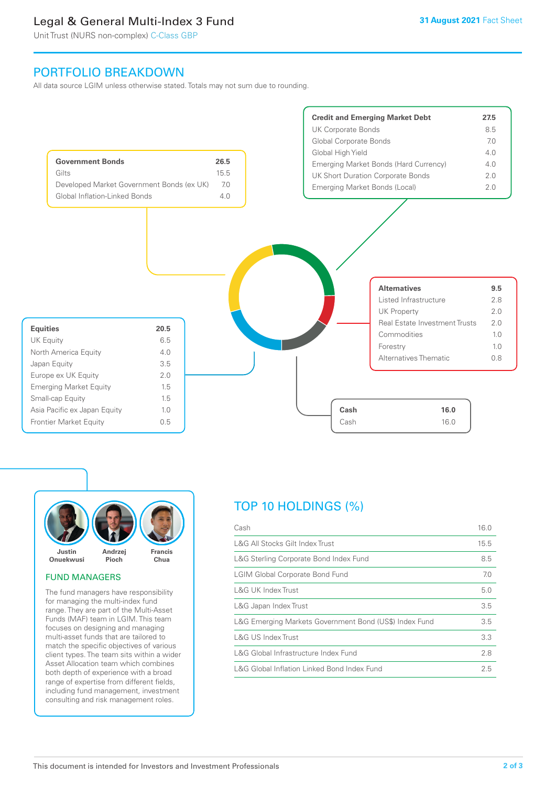# Legal & General Multi-Index 3 Fund

Unit Trust (NURS non-complex) C-Class GBP

# PORTFOLIO BREAKDOWN

All data source LGIM unless otherwise stated. Totals may not sum due to rounding.





#### FUND MANAGERS

The fund managers have responsibility for managing the multi-index fund range. They are part of the Multi-Asset Funds (MAF) team in LGIM. This team focuses on designing and managing multi-asset funds that are tailored to match the specific objectives of various client types. The team sits within a wider Asset Allocation team which combines both depth of experience with a broad range of expertise from different fields, including fund management, investment consulting and risk management roles.

# TOP 10 HOLDINGS (%)

| Cash                                                   | 16.0 |
|--------------------------------------------------------|------|
| L&G All Stocks Gilt Index Trust                        | 15.5 |
| L&G Sterling Corporate Bond Index Fund                 | 8.5  |
| <b>LGIM Global Corporate Bond Fund</b>                 | 7.0  |
| L&G UK Index Trust                                     | 5.0  |
| L&G Japan Index Trust                                  | 3.5  |
| L&G Emerging Markets Government Bond (US\$) Index Fund | 3.5  |
| L&G US Index Trust                                     | 3.3  |
| L&G Global Infrastructure Index Fund                   | 2.8  |
| L&G Global Inflation Linked Bond Index Fund            | 2.5  |